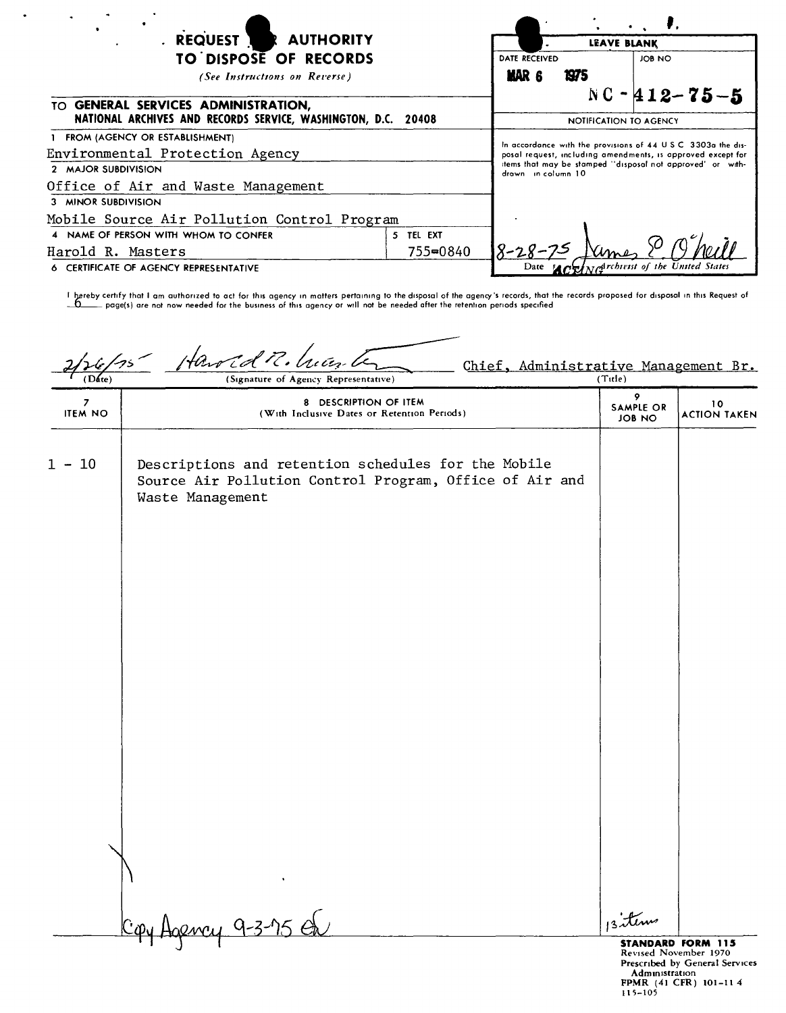| <b>REQUEST</b><br><b>REAUTHORITY</b>                                                                 |           |                                                                                                                                                                                                                  | <b>LEAVE BLANK</b>            |                                          |  |  |
|------------------------------------------------------------------------------------------------------|-----------|------------------------------------------------------------------------------------------------------------------------------------------------------------------------------------------------------------------|-------------------------------|------------------------------------------|--|--|
| TO DISPOSE OF RECORDS                                                                                |           | <b>DATE RECEIVED</b>                                                                                                                                                                                             |                               | JOB NO                                   |  |  |
| (See Instructions on Reverse)                                                                        |           | MAR <sub>6</sub>                                                                                                                                                                                                 | 1975                          |                                          |  |  |
| TO GENERAL SERVICES ADMINISTRATION,<br>NATIONAL ARCHIVES AND RECORDS SERVICE, WASHINGTON, D.C. 20408 |           |                                                                                                                                                                                                                  | <b>NOTIFICATION TO AGENCY</b> | $NC - 412 - 75 - 5$                      |  |  |
| 1 FROM (AGENCY OR ESTABLISHMENT)                                                                     |           |                                                                                                                                                                                                                  |                               |                                          |  |  |
| Environmental Protection Agency                                                                      |           | In accordance with the provisions of 44 U.S.C. 3303a the dis-<br>posal request, including amendments, is approved except for<br>items that may be stamped "disposal not approved" or with-<br>drawn in catumn 10 |                               |                                          |  |  |
| 2 MAJOR SUBDIVISION                                                                                  |           |                                                                                                                                                                                                                  |                               |                                          |  |  |
| Office of Air and Waste Management                                                                   |           |                                                                                                                                                                                                                  |                               |                                          |  |  |
| 3 MINOR SUBDIVISION                                                                                  |           |                                                                                                                                                                                                                  |                               |                                          |  |  |
| Mobile Source Air Pollution Control Program                                                          |           |                                                                                                                                                                                                                  |                               |                                          |  |  |
| 4 NAME OF PERSON WITH WHOM TO CONFER                                                                 | 5 TEL EXT |                                                                                                                                                                                                                  |                               |                                          |  |  |
| Harold R. Masters                                                                                    | 755=0840  | 18-28-75                                                                                                                                                                                                         |                               |                                          |  |  |
| 6 CERTIFICATE OF AGENCY REPRESENTATIVE                                                               |           |                                                                                                                                                                                                                  |                               | Date Merry Networks of the United States |  |  |

 $\ddot{\phantom{1}}$ 

I ~reby certrfy **that I am authorized to act for** thu **agency <sup>10</sup> matters** pertcmmq **to the disposal of the agency's records, that the records proposed for disposal In** thrs **Request of ~ pagels) are not now needed for the business of** thts **agency or will not be needed after the retention periods specified**

| (e/15               | Hawld R. hun le<br>Chief, Administrative Management Br.<br>(Signature of Agency Representative)                                    | (Title)                         |                           |
|---------------------|------------------------------------------------------------------------------------------------------------------------------------|---------------------------------|---------------------------|
| 7<br><b>ITEM NO</b> | 8 DESCRIPTION OF ITEM<br>(With Inclusive Dates or Retention Periods)                                                               | 9<br>SAMPLE OR<br><b>JOB NO</b> | 10<br><b>ACTION TAKEN</b> |
| $1 - 10$            | Descriptions and retention schedules for the Mobile<br>Source Air Pollution Control Program, Office of Air and<br>Waste Management |                                 |                           |
|                     |                                                                                                                                    |                                 |                           |
|                     | $C_{\phi}$<br><u>aency 9-3-75 O</u>                                                                                                | 13 tems                         | <b>STANDARD FORM 115</b>  |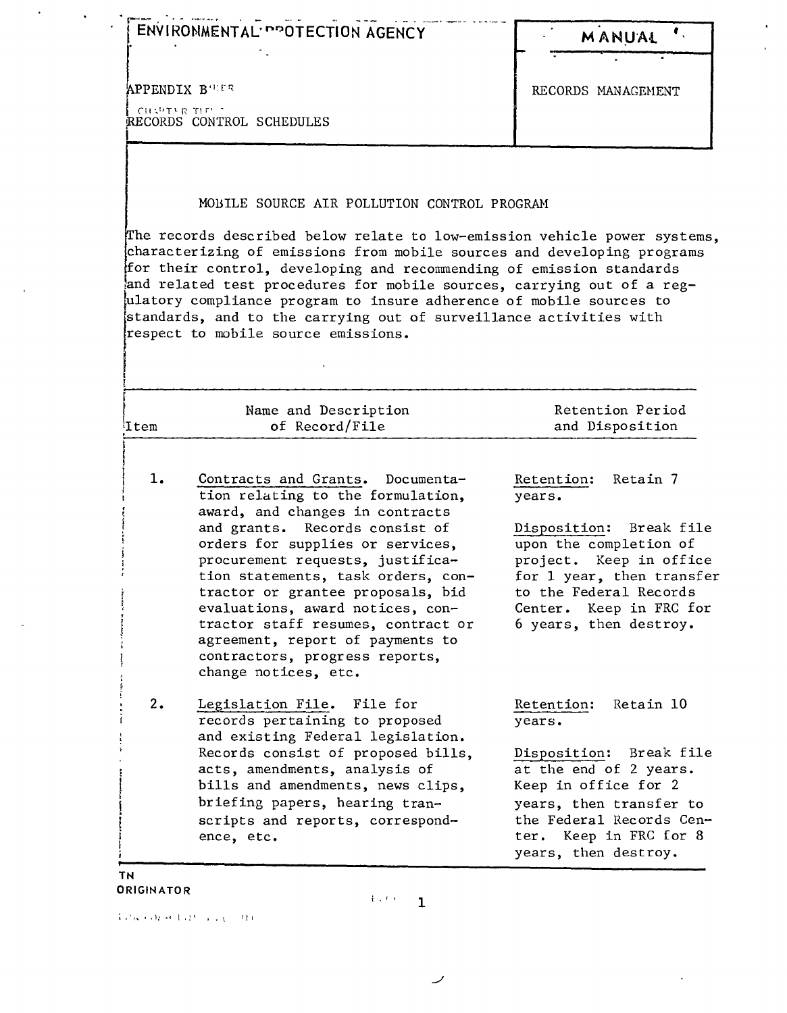|               | ENVIRONMENTAL PROTECTION AGENCY                                                                                                                                                                                                                                                                                                                                                                                                                                          | MANUAL                                                                                                                                                                                                                       |
|---------------|--------------------------------------------------------------------------------------------------------------------------------------------------------------------------------------------------------------------------------------------------------------------------------------------------------------------------------------------------------------------------------------------------------------------------------------------------------------------------|------------------------------------------------------------------------------------------------------------------------------------------------------------------------------------------------------------------------------|
|               | <b>APPENDIX B'UER</b>                                                                                                                                                                                                                                                                                                                                                                                                                                                    | RECORDS MANAGEMENT                                                                                                                                                                                                           |
| CHAPTER THE T | RECORDS CONTROL SCHEDULES                                                                                                                                                                                                                                                                                                                                                                                                                                                |                                                                                                                                                                                                                              |
|               | MOBILE SOURCE AIR POLLUTION CONTROL PROGRAM<br>The records described below relate to low-emission vehicle power systems,<br>characterizing of emissions from mobile sources and developing programs                                                                                                                                                                                                                                                                      |                                                                                                                                                                                                                              |
|               | for their control, developing and recommending of emission standards<br>and related test procedures for mobile sources, carrying out of a reg-<br>ulatory compliance program to insure adherence of mobile sources to<br>standards, and to the carrying out of surveillance activities with<br>respect to mobile source emissions.                                                                                                                                       |                                                                                                                                                                                                                              |
| Item          | Name and Description<br>of Record/File                                                                                                                                                                                                                                                                                                                                                                                                                                   | Retention Period<br>and Disposition                                                                                                                                                                                          |
| 1.            | Contracts and Grants. Documenta-<br>tion relating to the formulation,<br>award, and changes in contracts<br>and grants.<br>Records consist of<br>orders for supplies or services,<br>procurement requests, justifica-<br>tion statements, task orders, con-<br>tractor or grantee proposals, bid<br>evaluations, award notices, con-<br>tractor staff resumes, contract or<br>agreement, report of payments to<br>contractors, progress reports,<br>change notices, etc. | Retain 7<br>Retention:<br>years.<br>Disposition: Break file<br>upon the completion of<br>project. Keep in office<br>for 1 year, then transfer<br>to the Federal Records<br>Center. Keep in FRC for<br>6 years, then destroy. |
| 2.            | Legislation File. File for<br>records pertaining to proposed<br>and existing Federal legislation.<br>Records consist of proposed bills,<br>acts, amendments, analysis of<br>bills and amendments, news clips,<br>briefing papers, hearing tran-<br>scripts and reports, correspond-                                                                                                                                                                                      | Retention:<br>Retain 10<br>years.<br>Disposition:<br>Break file<br>at the end of 2 years.<br>Keep in office for 2<br>years, then transfer to<br>the Federal Records Cen-<br>ter. Keep in FRC for 8                           |

 $\hat{\mathcal{A}}$  $\mathcal{L}^{\text{max}}$ 

 $\sim 10^{11}$  km  $^{-1}$ 

 $A$  and consider the subset of the  $\mathcal{A}$ 

 $\mathcal{L}^{\text{max}}_{\text{max}}$  and  $\mathcal{L}^{\text{max}}_{\text{max}}$ 

 $\sim$   $\omega$ 

 $\overline{\phantom{a}}$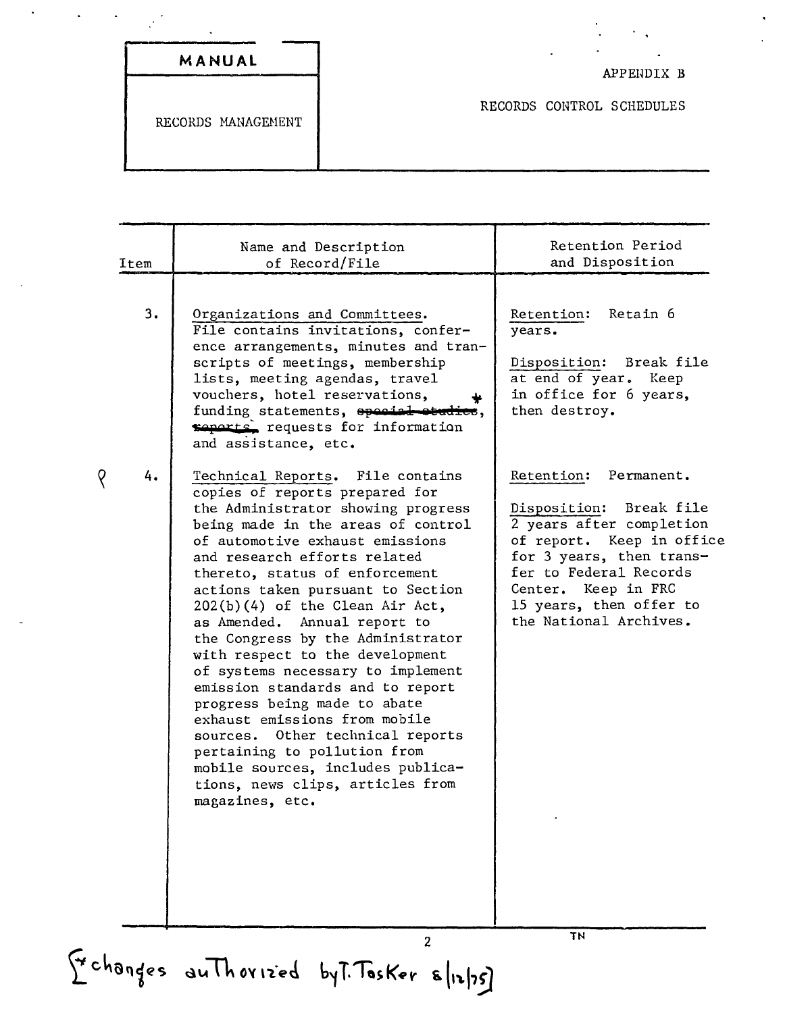| MANUAL |  |
|--------|--|

RECORDS MANAGEHENT

APPENDIX B

RECORDS CONTROL SCHEDULES

| Item | Name and Description<br>of Record/File                                                                                                                                                                                                                                                                                                                                                                                                                                                                                                                                                                                                                                                                                                          | Retention Period<br>and Disposition                                                                                                                                                                                                            |
|------|-------------------------------------------------------------------------------------------------------------------------------------------------------------------------------------------------------------------------------------------------------------------------------------------------------------------------------------------------------------------------------------------------------------------------------------------------------------------------------------------------------------------------------------------------------------------------------------------------------------------------------------------------------------------------------------------------------------------------------------------------|------------------------------------------------------------------------------------------------------------------------------------------------------------------------------------------------------------------------------------------------|
| 3.   | Organizations and Committees.<br>File contains invitations, confer-<br>ence arrangements, minutes and tran-<br>scripts of meetings, membership<br>lists, meeting agendas, travel<br>vouchers, hotel reservations,<br>funding statements, special etudies,<br>seperts, requests for information<br>and assistance, etc.                                                                                                                                                                                                                                                                                                                                                                                                                          | Retain 6<br>Retention:<br>years.<br>Disposition:<br>Break file<br>at end of year.<br>Keep<br>in office for 6 years,<br>then destroy.                                                                                                           |
| 4.   | Technical Reports. File contains<br>copies of reports prepared for<br>the Administrator showing progress<br>being made in the areas of control<br>of automotive exhaust emissions<br>and research efforts related<br>thereto, status of enforcement<br>actions taken pursuant to Section<br>$202(b)(4)$ of the Clean Air Act,<br>as Amended. Annual report to<br>the Congress by the Administrator<br>with respect to the development<br>of systems necessary to implement<br>emission standards and to report<br>progress being made to abate<br>exhaust emissions from mobile<br>sources. Other technical reports<br>pertaining to pollution from<br>mobile sources, includes publica-<br>tions, news clips, articles from<br>magazines, etc. | Retention: Permanent.<br>Break file<br>Disposition:<br>2 years after completion<br>of report. Keep in office<br>for 3 years, then trans-<br>fer to Federal Records<br>Center. Keep in FRC<br>15 years, then offer to<br>the National Archives. |

 $\overline{Q}$ 

Tr changes au Thorized by T. Tasker 8/12/75)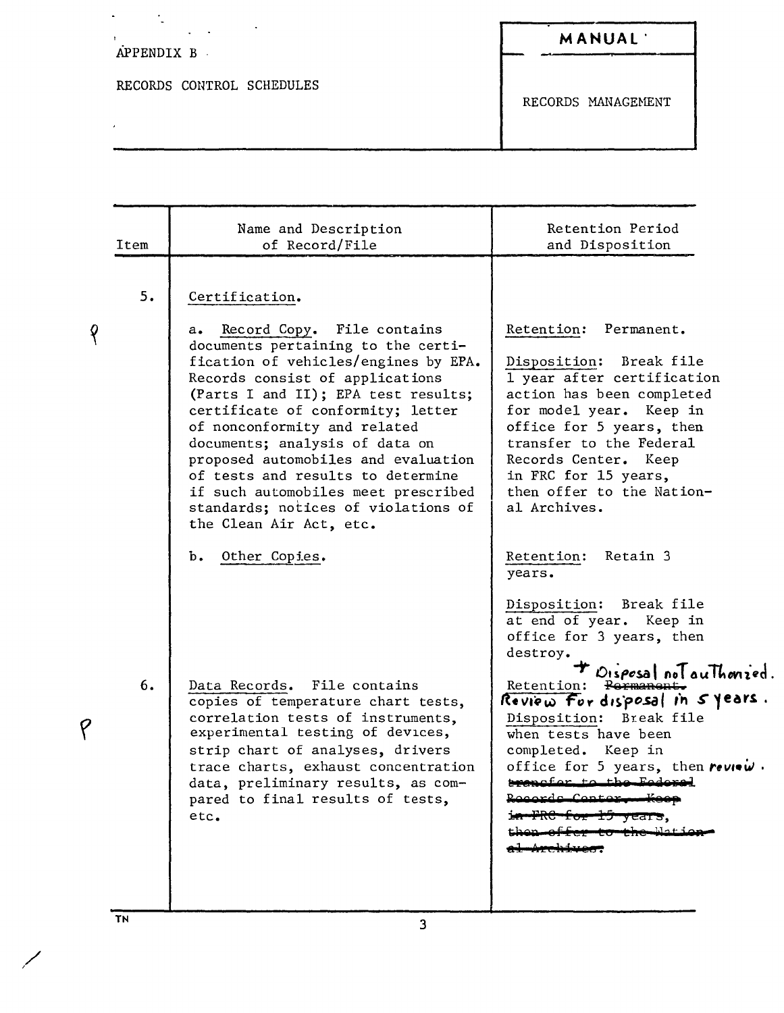## APPENDIX B

 $\frac{1}{\sqrt{2}}$ 

 $\bar{\mathbf{r}}$ 

 $\mathbf{y}^{(i)}$  .

RECORDS CONTROL SCHEDULES

 $\frac{1}{2} \left( \frac{1}{2} \right)$  ,  $\frac{1}{2} \left( \frac{1}{2} \right)$  ,  $\frac{1}{2} \left( \frac{1}{2} \right)$ 

RECORDS MANAGEMENT

|   | Item | Name and Description<br>of Record/File                                                                                                                                                                                                                                                                                          | Retention Period<br>and Disposition                                                                                                                                                                                                                                                                                                |
|---|------|---------------------------------------------------------------------------------------------------------------------------------------------------------------------------------------------------------------------------------------------------------------------------------------------------------------------------------|------------------------------------------------------------------------------------------------------------------------------------------------------------------------------------------------------------------------------------------------------------------------------------------------------------------------------------|
|   | 5.   | Certification.<br>a. Record Copy. File contains<br>documents pertaining to the certi-<br>fication of vehicles/engines by EPA.<br>Records consist of applications                                                                                                                                                                | Retention: Permanent.<br>Disposition: Break file<br>1 year after certification                                                                                                                                                                                                                                                     |
|   |      | (Parts I and II); EPA test results;<br>certificate of conformity; letter<br>of nonconformity and related<br>documents; analysis of data on<br>proposed automobiles and evaluation<br>of tests and results to determine<br>if such automobiles meet prescribed<br>standards; notices of violations of<br>the Clean Air Act, etc. | action has been completed<br>for model year. Keep in<br>office for 5 years, then<br>transfer to the Federal<br>Records Center. Keep<br>in FRC for 15 years,<br>then offer to the Nation-<br>al Archives.                                                                                                                           |
|   |      | b. Other Copies.                                                                                                                                                                                                                                                                                                                | Retention:<br>Retain 3<br>years.<br>Disposition: Break file<br>at end of year. Keep in                                                                                                                                                                                                                                             |
| P | 6.   | Data Records. File contains<br>copies of temperature chart tests,<br>correlation tests of instruments,<br>experimental testing of devices,<br>strip chart of analyses, drivers<br>trace charts, exhaust concentration<br>data, preliminary results, as com-<br>pared to final results of tests,<br>etc.                         | office for 3 years, then<br>destroy.<br>Disposal not authorized.<br>Porman<br>Retention:<br>Review For disposal in 5 years.<br>Disposition: Break file<br>when tests have been<br>completed. Keep in<br>office for 5 years, then review.<br>trancfor to the Federal<br>Rogarda Contor<br><del>FRC for 15 years</del> ,<br>حمد املا |
|   |      |                                                                                                                                                                                                                                                                                                                                 |                                                                                                                                                                                                                                                                                                                                    |

 $T_N$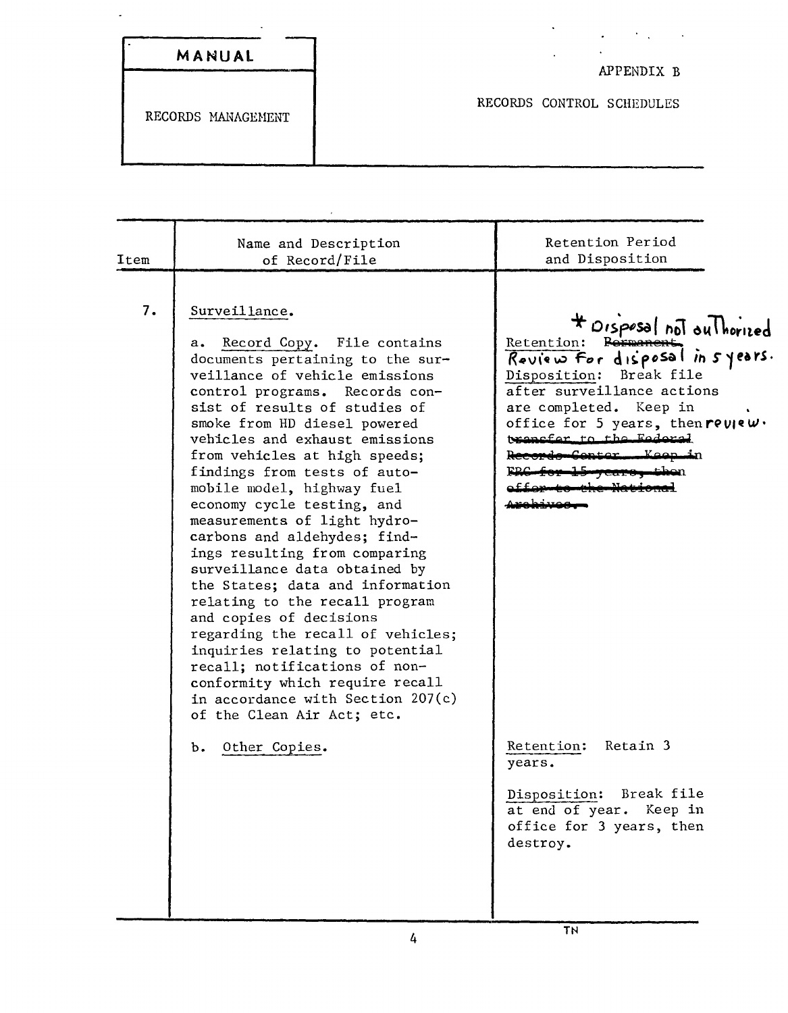|  | MANUAL |  |  |  |
|--|--------|--|--|--|

 $\mathbb{R}^2$ 

APPENDIX B

 $\mathcal{L}^{\text{max}}(\mathcal{F},\mathcal{L}^{\text{max}})$ 

RECORDS MANAGEMENT

RECORDS CONTROL SCHEDULES

 $\ddot{\phantom{a}}$ 

 $\ddot{\phantom{0}}$ 

| Item | Name and Description<br>of Record/File                                                                                                                                                                                                                                                                                                                                                                                                                                                                                                                                                                                                                                                                                                                                                                                                     | Retention Period<br>and Disposition                                                                                                                                                                                                                                    |
|------|--------------------------------------------------------------------------------------------------------------------------------------------------------------------------------------------------------------------------------------------------------------------------------------------------------------------------------------------------------------------------------------------------------------------------------------------------------------------------------------------------------------------------------------------------------------------------------------------------------------------------------------------------------------------------------------------------------------------------------------------------------------------------------------------------------------------------------------------|------------------------------------------------------------------------------------------------------------------------------------------------------------------------------------------------------------------------------------------------------------------------|
| 7.   | Surveillance.<br>a. Record Copy. File contains<br>documents pertaining to the sur-<br>veillance of vehicle emissions<br>control programs. Records con-<br>sist of results of studies of<br>smoke from HD diesel powered<br>vehicles and exhaust emissions<br>from vehicles at high speeds;<br>findings from tests of auto-<br>mobile model, highway fuel<br>economy cycle testing, and<br>measurements of light hydro-<br>carbons and aldehydes; find-<br>ings resulting from comparing<br>surveillance data obtained by<br>the States; data and information<br>relating to the recall program<br>and copies of decisions<br>regarding the recall of vehicles;<br>inquiries relating to potential<br>recall; notifications of non-<br>conformity which require recall<br>in accordance with Section $207(c)$<br>of the Clean Air Act; etc. | # Disposal not outhorized<br>Retention:<br>Raxman<br>Review for disposal in syears.<br>Disposition:<br>Break file<br>after surveillance actions<br>are completed. Keep in<br>office for 5 years, then $rev$<br>transfer to the Federal<br>Koop in<br><del>Record</del> |
|      | b. Other Copies.                                                                                                                                                                                                                                                                                                                                                                                                                                                                                                                                                                                                                                                                                                                                                                                                                           | Retention: Retain 3<br>years.                                                                                                                                                                                                                                          |
|      |                                                                                                                                                                                                                                                                                                                                                                                                                                                                                                                                                                                                                                                                                                                                                                                                                                            | Disposition: Break file<br>at end of year. Keep in<br>office for 3 years, then<br>destroy.                                                                                                                                                                             |
|      |                                                                                                                                                                                                                                                                                                                                                                                                                                                                                                                                                                                                                                                                                                                                                                                                                                            | <b>TN</b>                                                                                                                                                                                                                                                              |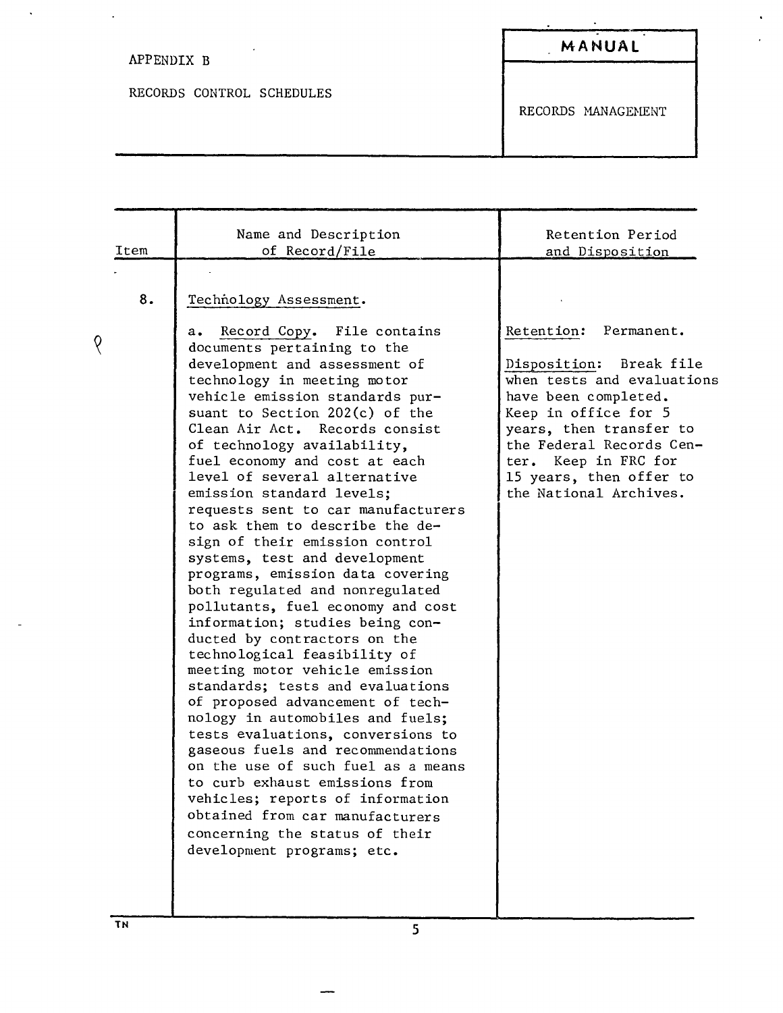## APPENDIX B

 $\langle \cdot \rangle$ 

 $\Delta \sim 10^{11}$ 

RECORDS CONTROL SCHEDULES

 $\sim$   $\sim$ 

**MANUAL**

 $\star$ 

 $\mathbf{C}^{(1)}$ 

 $\mathbf{r}$ 

RECORDS HANAGEHENT

| Item | Name and Description<br>of Record/File                                                                                                                                                                                                                                                                                                                                                                                                                                                                                                                                                                                                                                                                                                                                                                                                                                                                                                                                                                                                                                                                                                                                                            | Retention Period<br>and Disposition                                                                                                                                                                                                                                   |
|------|---------------------------------------------------------------------------------------------------------------------------------------------------------------------------------------------------------------------------------------------------------------------------------------------------------------------------------------------------------------------------------------------------------------------------------------------------------------------------------------------------------------------------------------------------------------------------------------------------------------------------------------------------------------------------------------------------------------------------------------------------------------------------------------------------------------------------------------------------------------------------------------------------------------------------------------------------------------------------------------------------------------------------------------------------------------------------------------------------------------------------------------------------------------------------------------------------|-----------------------------------------------------------------------------------------------------------------------------------------------------------------------------------------------------------------------------------------------------------------------|
| 8.   | Technology Assessment.<br>Record Copy. File contains<br>а.<br>documents pertaining to the<br>development and assessment of<br>technology in meeting motor<br>vehicle emission standards pur-<br>suant to Section $202(c)$ of the<br>Clean Air Act. Records consist<br>of technology availability,<br>fuel economy and cost at each<br>level of several alternative<br>emission standard levels;<br>requests sent to car manufacturers<br>to ask them to describe the de-<br>sign of their emission control<br>systems, test and development<br>programs, emission data covering<br>both regulated and nonregulated<br>pollutants, fuel economy and cost<br>information; studies being con-<br>ducted by contractors on the<br>technological feasibility of<br>meeting motor vehicle emission<br>standards; tests and evaluations<br>of proposed advancement of tech-<br>nology in automobiles and fuels;<br>tests evaluations, conversions to<br>gaseous fuels and recommendations<br>on the use of such fuel as a means<br>to curb exhaust emissions from<br>vehicles; reports of information<br>obtained from car manufacturers<br>concerning the status of their<br>development programs; etc. | Retention: Permanent.<br>Disposition:<br>Break file<br>when tests and evaluations<br>have been completed.<br>Keep in office for 5<br>years, then transfer to<br>the Federal Records Cen-<br>ter. Keep in FRC for<br>15 years, then offer to<br>the National Archives. |